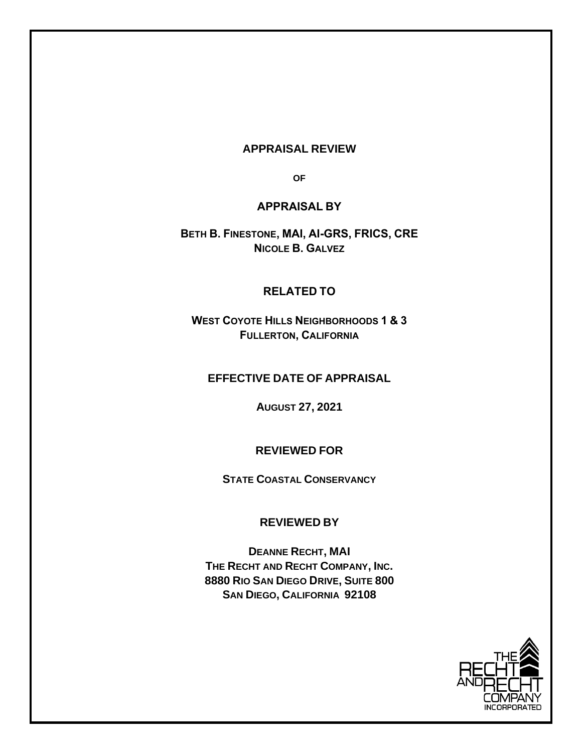# **APPRAISAL REVIEW**

**OF**

#### **APPRAISAL BY**

**BETH B. FINESTONE, MAI, AI-GRS, FRICS, CRE NICOLE B. GALVEZ**

#### **RELATED TO**

**WEST COYOTE HILLS NEIGHBORHOODS 1 & 3 FULLERTON, CALIFORNIA**

## **EFFECTIVE DATE OF APPRAISAL**

**AUGUST 27, 2021**

#### **REVIEWED FOR**

**STATE COASTAL CONSERVANCY**

### **REVIEWED BY**

**DEANNE RECHT, MAI THE RECHT AND RECHT COMPANY, INC. 8880 RIO SAN DIEGO DRIVE, SUITE 800 SAN DIEGO, CALIFORNIA 92108**

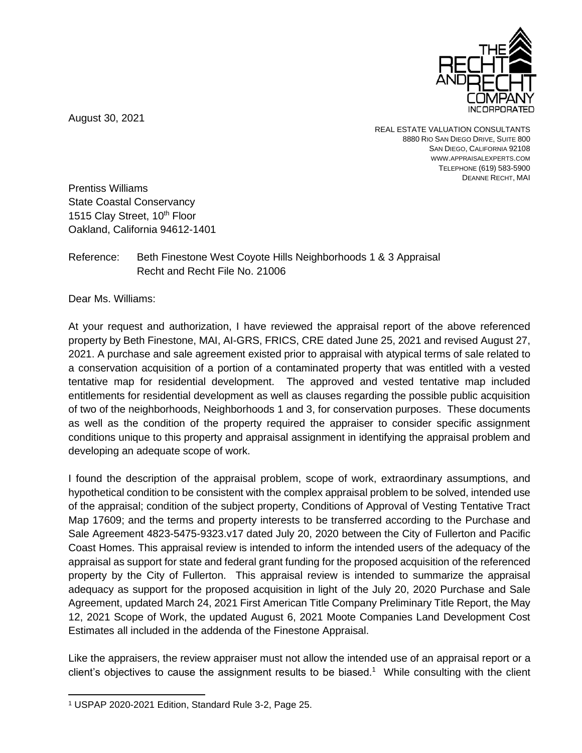

August 30, 2021

REAL ESTATE VALUATION CONSULTANTS 8880 RIO SAN DIEGO DRIVE, SUITE 800 SAN DIEGO, CALIFORNIA 92108 WWW.[APPRAISALEXPERTS](http://www.appraisalexperts.com/).COM TELEPHONE (619) 583-5900 DEANNE RECHT, MAI

Prentiss Williams State Coastal Conservancy 1515 Clay Street, 10<sup>th</sup> Floor Oakland, California 94612-1401

## Reference: Beth Finestone West Coyote Hills Neighborhoods 1 & 3 Appraisal Recht and Recht File No. 21006

Dear Ms. Williams:

At your request and authorization, I have reviewed the appraisal report of the above referenced property by Beth Finestone, MAI, AI-GRS, FRICS, CRE dated June 25, 2021 and revised August 27, 2021. A purchase and sale agreement existed prior to appraisal with atypical terms of sale related to a conservation acquisition of a portion of a contaminated property that was entitled with a vested tentative map for residential development. The approved and vested tentative map included entitlements for residential development as well as clauses regarding the possible public acquisition of two of the neighborhoods, Neighborhoods 1 and 3, for conservation purposes. These documents as well as the condition of the property required the appraiser to consider specific assignment conditions unique to this property and appraisal assignment in identifying the appraisal problem and developing an adequate scope of work.

I found the description of the appraisal problem, scope of work, extraordinary assumptions, and hypothetical condition to be consistent with the complex appraisal problem to be solved, intended use of the appraisal; condition of the subject property, Conditions of Approval of Vesting Tentative Tract Map 17609; and the terms and property interests to be transferred according to the Purchase and Sale Agreement 4823-5475-9323.v17 dated July 20, 2020 between the City of Fullerton and Pacific Coast Homes. This appraisal review is intended to inform the intended users of the adequacy of the appraisal as support for state and federal grant funding for the proposed acquisition of the referenced property by the City of Fullerton. This appraisal review is intended to summarize the appraisal adequacy as support for the proposed acquisition in light of the July 20, 2020 Purchase and Sale Agreement, updated March 24, 2021 First American Title Company Preliminary Title Report, the May 12, 2021 Scope of Work, the updated August 6, 2021 Moote Companies Land Development Cost Estimates all included in the addenda of the Finestone Appraisal.

Like the appraisers, the review appraiser must not allow the intended use of an appraisal report or a client's objectives to cause the assignment results to be biased.<sup>1</sup> While consulting with the client

<sup>1</sup> USPAP 2020-2021 Edition, Standard Rule 3-2, Page 25.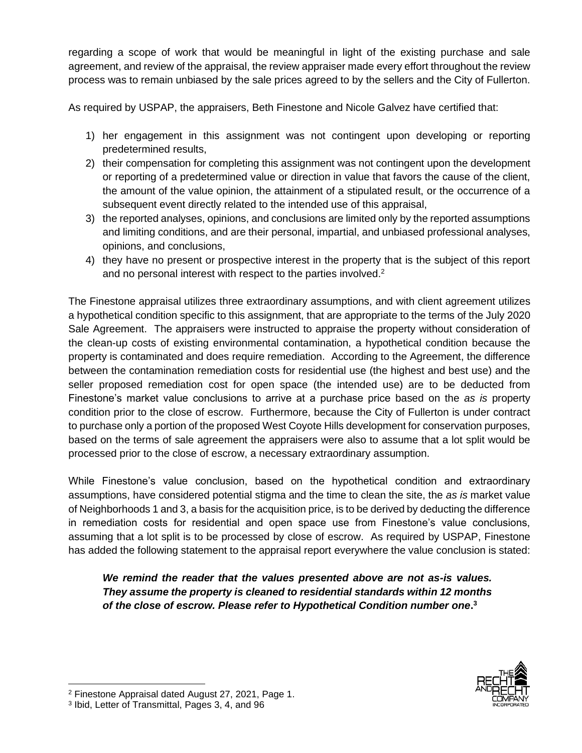regarding a scope of work that would be meaningful in light of the existing purchase and sale agreement, and review of the appraisal, the review appraiser made every effort throughout the review process was to remain unbiased by the sale prices agreed to by the sellers and the City of Fullerton.

As required by USPAP, the appraisers, Beth Finestone and Nicole Galvez have certified that:

- 1) her engagement in this assignment was not contingent upon developing or reporting predetermined results,
- 2) their compensation for completing this assignment was not contingent upon the development or reporting of a predetermined value or direction in value that favors the cause of the client, the amount of the value opinion, the attainment of a stipulated result, or the occurrence of a subsequent event directly related to the intended use of this appraisal,
- 3) the reported analyses, opinions, and conclusions are limited only by the reported assumptions and limiting conditions, and are their personal, impartial, and unbiased professional analyses, opinions, and conclusions,
- 4) they have no present or prospective interest in the property that is the subject of this report and no personal interest with respect to the parties involved.<sup>2</sup>

The Finestone appraisal utilizes three extraordinary assumptions, and with client agreement utilizes a hypothetical condition specific to this assignment, that are appropriate to the terms of the July 2020 Sale Agreement. The appraisers were instructed to appraise the property without consideration of the clean-up costs of existing environmental contamination, a hypothetical condition because the property is contaminated and does require remediation. According to the Agreement, the difference between the contamination remediation costs for residential use (the highest and best use) and the seller proposed remediation cost for open space (the intended use) are to be deducted from Finestone's market value conclusions to arrive at a purchase price based on the *as is* property condition prior to the close of escrow. Furthermore, because the City of Fullerton is under contract to purchase only a portion of the proposed West Coyote Hills development for conservation purposes, based on the terms of sale agreement the appraisers were also to assume that a lot split would be processed prior to the close of escrow, a necessary extraordinary assumption.

While Finestone's value conclusion, based on the hypothetical condition and extraordinary assumptions, have considered potential stigma and the time to clean the site, the *as is* market value of Neighborhoods 1 and 3, a basis for the acquisition price, is to be derived by deducting the difference in remediation costs for residential and open space use from Finestone's value conclusions, assuming that a lot split is to be processed by close of escrow. As required by USPAP, Finestone has added the following statement to the appraisal report everywhere the value conclusion is stated:

*We remind the reader that the values presented above are not as-is values. They assume the property is cleaned to residential standards within 12 months of the close of escrow. Please refer to Hypothetical Condition number one***. 3**



<sup>2</sup> Finestone Appraisal dated August 27, 2021, Page 1.

<sup>3</sup> Ibid, Letter of Transmittal, Pages 3, 4, and 96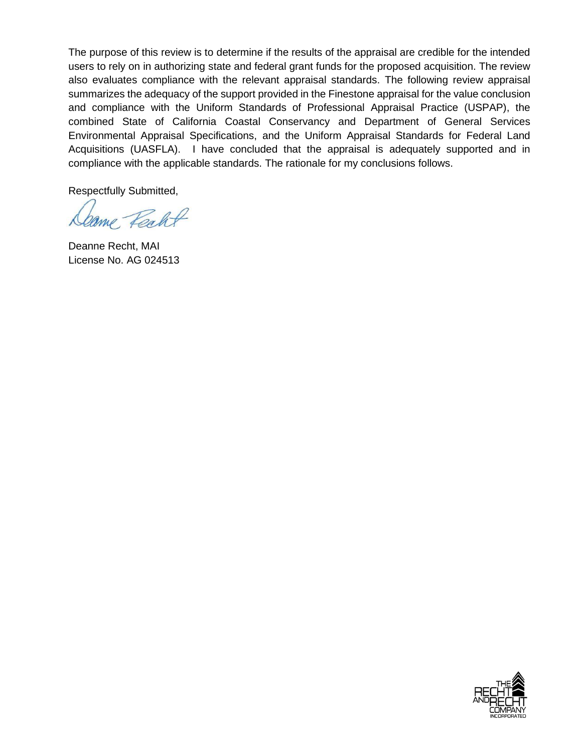The purpose of this review is to determine if the results of the appraisal are credible for the intended users to rely on in authorizing state and federal grant funds for the proposed acquisition. The review also evaluates compliance with the relevant appraisal standards. The following review appraisal summarizes the adequacy of the support provided in the Finestone appraisal for the value conclusion and compliance with the Uniform Standards of Professional Appraisal Practice (USPAP), the combined State of California Coastal Conservancy and Department of General Services Environmental Appraisal Specifications, and the Uniform Appraisal Standards for Federal Land Acquisitions (UASFLA). I have concluded that the appraisal is adequately supported and in compliance with the applicable standards. The rationale for my conclusions follows.

Respectfully Submitted,

bame Fealt

Deanne Recht, MAI License No. AG 024513

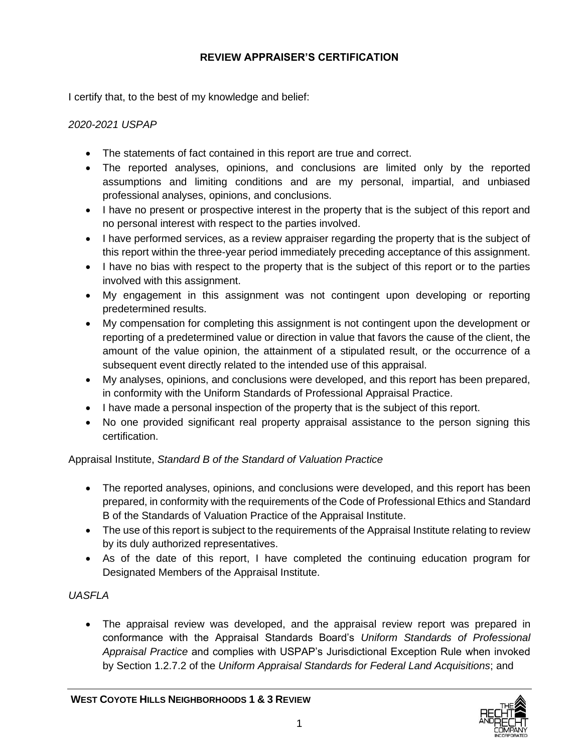# **REVIEW APPRAISER'S CERTIFICATION**

I certify that, to the best of my knowledge and belief:

## *2020-2021 USPAP*

- The statements of fact contained in this report are true and correct.
- The reported analyses, opinions, and conclusions are limited only by the reported assumptions and limiting conditions and are my personal, impartial, and unbiased professional analyses, opinions, and conclusions.
- I have no present or prospective interest in the property that is the subject of this report and no personal interest with respect to the parties involved.
- I have performed services, as a review appraiser regarding the property that is the subject of this report within the three-year period immediately preceding acceptance of this assignment.
- I have no bias with respect to the property that is the subject of this report or to the parties involved with this assignment.
- My engagement in this assignment was not contingent upon developing or reporting predetermined results.
- My compensation for completing this assignment is not contingent upon the development or reporting of a predetermined value or direction in value that favors the cause of the client, the amount of the value opinion, the attainment of a stipulated result, or the occurrence of a subsequent event directly related to the intended use of this appraisal.
- My analyses, opinions, and conclusions were developed, and this report has been prepared, in conformity with the Uniform Standards of Professional Appraisal Practice.
- I have made a personal inspection of the property that is the subject of this report.
- No one provided significant real property appraisal assistance to the person signing this certification.

# Appraisal Institute, *Standard B of the Standard of Valuation Practice*

- The reported analyses, opinions, and conclusions were developed, and this report has been prepared, in conformity with the requirements of the Code of Professional Ethics and Standard B of the Standards of Valuation Practice of the Appraisal Institute.
- The use of this report is subject to the requirements of the Appraisal Institute relating to review by its duly authorized representatives.
- As of the date of this report, I have completed the continuing education program for Designated Members of the Appraisal Institute.

# *UASFLA*

• The appraisal review was developed, and the appraisal review report was prepared in conformance with the Appraisal Standards Board's *Uniform Standards of Professional Appraisal Practice* and complies with USPAP's Jurisdictional Exception Rule when invoked by Section 1.2.7.2 of the *Uniform Appraisal Standards for Federal Land Acquisitions*; and

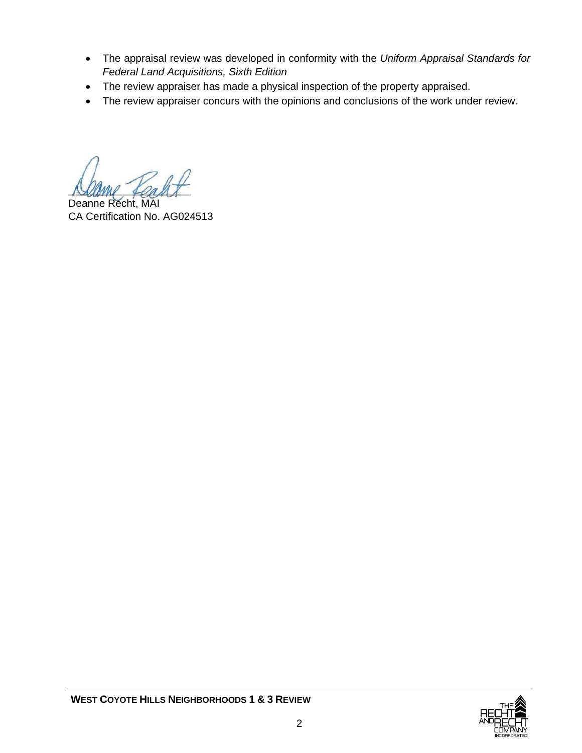- The appraisal review was developed in conformity with the *Uniform Appraisal Standards for Federal Land Acquisitions, Sixth Edition*
- The review appraiser has made a physical inspection of the property appraised.
- The review appraiser concurs with the opinions and conclusions of the work under review.

 $\sim$ 

Deanne Recht, MAI CA Certification No. AG024513



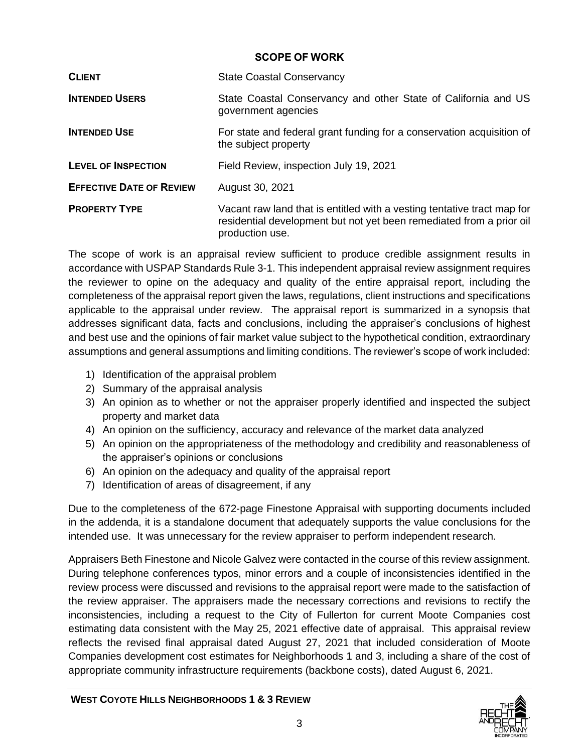### **SCOPE OF WORK**

| <b>CLIENT</b>                   | <b>State Coastal Conservancy</b>                                                                                                                                   |
|---------------------------------|--------------------------------------------------------------------------------------------------------------------------------------------------------------------|
| <b>INTENDED USERS</b>           | State Coastal Conservancy and other State of California and US<br>government agencies                                                                              |
| <b>INTENDED USE</b>             | For state and federal grant funding for a conservation acquisition of<br>the subject property                                                                      |
| <b>LEVEL OF INSPECTION</b>      | Field Review, inspection July 19, 2021                                                                                                                             |
| <b>EFFECTIVE DATE OF REVIEW</b> | August 30, 2021                                                                                                                                                    |
| <b>PROPERTY TYPE</b>            | Vacant raw land that is entitled with a vesting tentative tract map for<br>residential development but not yet been remediated from a prior oil<br>production use. |

The scope of work is an appraisal review sufficient to produce credible assignment results in accordance with USPAP Standards Rule 3-1. This independent appraisal review assignment requires the reviewer to opine on the adequacy and quality of the entire appraisal report, including the completeness of the appraisal report given the laws, regulations, client instructions and specifications applicable to the appraisal under review. The appraisal report is summarized in a synopsis that addresses significant data, facts and conclusions, including the appraiser's conclusions of highest and best use and the opinions of fair market value subject to the hypothetical condition, extraordinary assumptions and general assumptions and limiting conditions. The reviewer's scope of work included:

- 1) Identification of the appraisal problem
- 2) Summary of the appraisal analysis
- 3) An opinion as to whether or not the appraiser properly identified and inspected the subject property and market data
- 4) An opinion on the sufficiency, accuracy and relevance of the market data analyzed
- 5) An opinion on the appropriateness of the methodology and credibility and reasonableness of the appraiser's opinions or conclusions
- 6) An opinion on the adequacy and quality of the appraisal report
- 7) Identification of areas of disagreement, if any

Due to the completeness of the 672-page Finestone Appraisal with supporting documents included in the addenda, it is a standalone document that adequately supports the value conclusions for the intended use. It was unnecessary for the review appraiser to perform independent research.

Appraisers Beth Finestone and Nicole Galvez were contacted in the course of this review assignment. During telephone conferences typos, minor errors and a couple of inconsistencies identified in the review process were discussed and revisions to the appraisal report were made to the satisfaction of the review appraiser. The appraisers made the necessary corrections and revisions to rectify the inconsistencies, including a request to the City of Fullerton for current Moote Companies cost estimating data consistent with the May 25, 2021 effective date of appraisal. This appraisal review reflects the revised final appraisal dated August 27, 2021 that included consideration of Moote Companies development cost estimates for Neighborhoods 1 and 3, including a share of the cost of appropriate community infrastructure requirements (backbone costs), dated August 6, 2021.

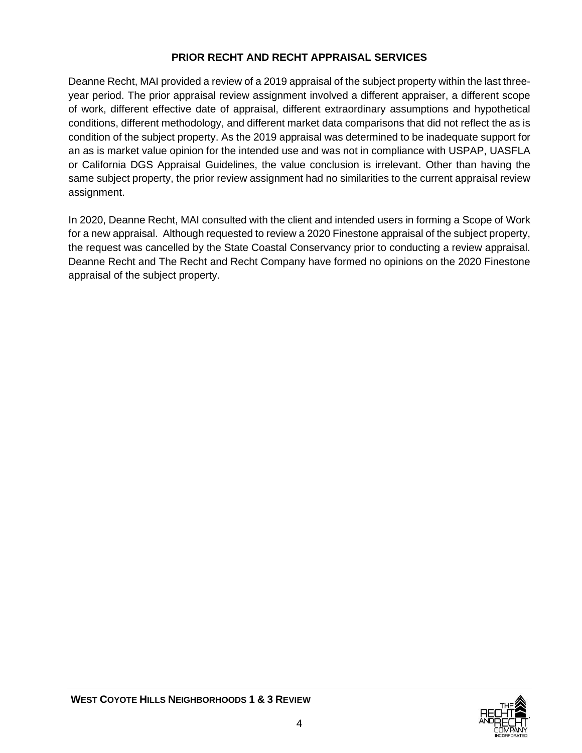# **PRIOR RECHT AND RECHT APPRAISAL SERVICES**

Deanne Recht, MAI provided a review of a 2019 appraisal of the subject property within the last threeyear period. The prior appraisal review assignment involved a different appraiser, a different scope of work, different effective date of appraisal, different extraordinary assumptions and hypothetical conditions, different methodology, and different market data comparisons that did not reflect the as is condition of the subject property. As the 2019 appraisal was determined to be inadequate support for an as is market value opinion for the intended use and was not in compliance with USPAP, UASFLA or California DGS Appraisal Guidelines, the value conclusion is irrelevant. Other than having the same subject property, the prior review assignment had no similarities to the current appraisal review assignment.

In 2020, Deanne Recht, MAI consulted with the client and intended users in forming a Scope of Work for a new appraisal. Although requested to review a 2020 Finestone appraisal of the subject property, the request was cancelled by the State Coastal Conservancy prior to conducting a review appraisal. Deanne Recht and The Recht and Recht Company have formed no opinions on the 2020 Finestone appraisal of the subject property.

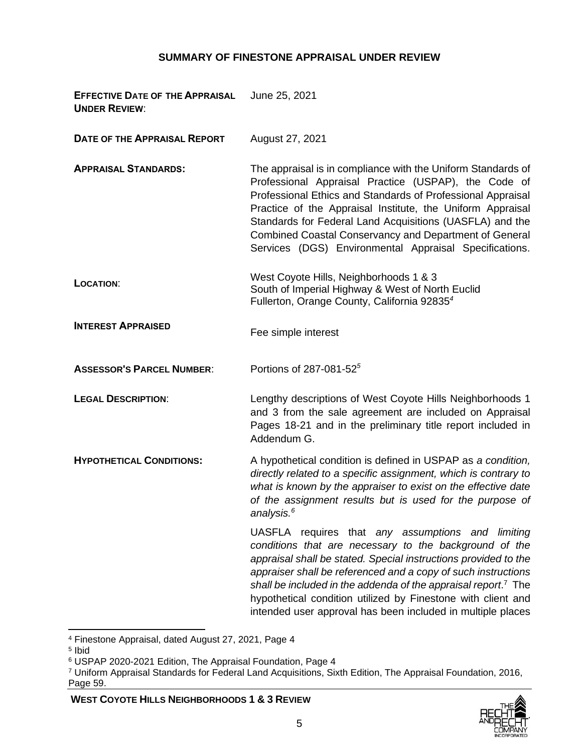#### **SUMMARY OF FINESTONE APPRAISAL UNDER REVIEW**

| <b>EFFECTIVE DATE OF THE APPRAISAL</b><br><b>UNDER REVIEW:</b> | June 25, 2021                                                                                                                                                                                                                                                                                                                                                                                                                                                |
|----------------------------------------------------------------|--------------------------------------------------------------------------------------------------------------------------------------------------------------------------------------------------------------------------------------------------------------------------------------------------------------------------------------------------------------------------------------------------------------------------------------------------------------|
| <b>DATE OF THE APPRAISAL REPORT</b>                            | August 27, 2021                                                                                                                                                                                                                                                                                                                                                                                                                                              |
| <b>APPRAISAL STANDARDS:</b>                                    | The appraisal is in compliance with the Uniform Standards of<br>Professional Appraisal Practice (USPAP), the Code of<br>Professional Ethics and Standards of Professional Appraisal<br>Practice of the Appraisal Institute, the Uniform Appraisal<br>Standards for Federal Land Acquisitions (UASFLA) and the<br><b>Combined Coastal Conservancy and Department of General</b><br>Services (DGS) Environmental Appraisal Specifications.                     |
| <b>LOCATION:</b>                                               | West Coyote Hills, Neighborhoods 1 & 3<br>South of Imperial Highway & West of North Euclid<br>Fullerton, Orange County, California 92835 <sup>4</sup>                                                                                                                                                                                                                                                                                                        |
| <b>INTEREST APPRAISED</b>                                      | Fee simple interest                                                                                                                                                                                                                                                                                                                                                                                                                                          |
| <b>ASSESSOR'S PARCEL NUMBER:</b>                               | Portions of 287-081-52 <sup>5</sup>                                                                                                                                                                                                                                                                                                                                                                                                                          |
| <b>LEGAL DESCRIPTION:</b>                                      | Lengthy descriptions of West Coyote Hills Neighborhoods 1<br>and 3 from the sale agreement are included on Appraisal<br>Pages 18-21 and in the preliminary title report included in<br>Addendum G.                                                                                                                                                                                                                                                           |
| <b>HYPOTHETICAL CONDITIONS:</b>                                | A hypothetical condition is defined in USPAP as a condition,<br>directly related to a specific assignment, which is contrary to<br>what is known by the appraiser to exist on the effective date<br>of the assignment results but is used for the purpose of<br>analysis. <sup>6</sup>                                                                                                                                                                       |
|                                                                | UASFLA requires that any assumptions and limiting<br>conditions that are necessary to the background of the<br>appraisal shall be stated. Special instructions provided to the<br>appraiser shall be referenced and a copy of such instructions<br>shall be included in the addenda of the appraisal report. <sup>7</sup> The<br>hypothetical condition utilized by Finestone with client and<br>intended user approval has been included in multiple places |

<sup>4</sup> Finestone Appraisal, dated August 27, 2021, Page 4



<sup>5</sup> Ibid

<sup>6</sup> USPAP 2020-2021 Edition, The Appraisal Foundation, Page 4

<sup>7</sup> Uniform Appraisal Standards for Federal Land Acquisitions, Sixth Edition, The Appraisal Foundation, 2016, Page 59.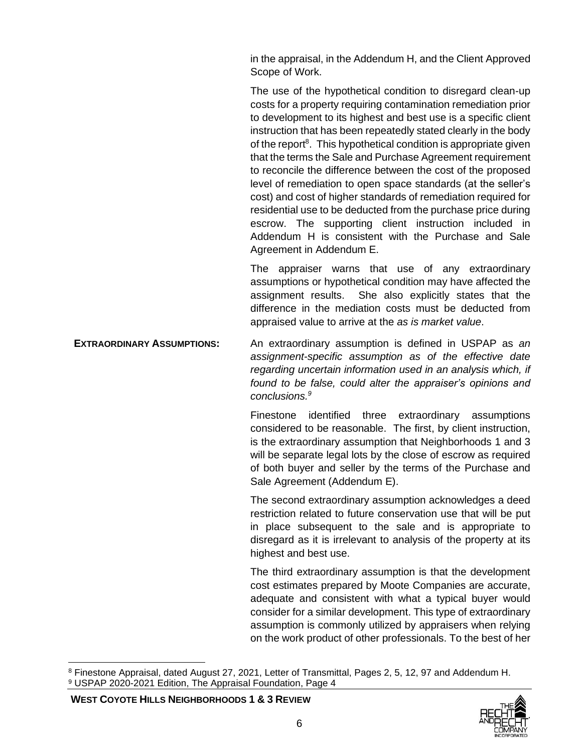in the appraisal, in the Addendum H, and the Client Approved Scope of Work.

The use of the hypothetical condition to disregard clean-up costs for a property requiring contamination remediation prior to development to its highest and best use is a specific client instruction that has been repeatedly stated clearly in the body of the report<sup>8</sup>. This hypothetical condition is appropriate given that the terms the Sale and Purchase Agreement requirement to reconcile the difference between the cost of the proposed level of remediation to open space standards (at the seller's cost) and cost of higher standards of remediation required for residential use to be deducted from the purchase price during escrow. The supporting client instruction included in Addendum H is consistent with the Purchase and Sale Agreement in Addendum E.

The appraiser warns that use of any extraordinary assumptions or hypothetical condition may have affected the assignment results. She also explicitly states that the difference in the mediation costs must be deducted from appraised value to arrive at the *as is market value*.

**EXTRAORDINARY ASSUMPTIONS:** An extraordinary assumption is defined in USPAP as *an assignment-specific assumption as of the effective date regarding uncertain information used in an analysis which, if found to be false, could alter the appraiser's opinions and conclusions.<sup>9</sup>*

> Finestone identified three extraordinary assumptions considered to be reasonable. The first, by client instruction, is the extraordinary assumption that Neighborhoods 1 and 3 will be separate legal lots by the close of escrow as required of both buyer and seller by the terms of the Purchase and Sale Agreement (Addendum E).

> The second extraordinary assumption acknowledges a deed restriction related to future conservation use that will be put in place subsequent to the sale and is appropriate to disregard as it is irrelevant to analysis of the property at its highest and best use.

> The third extraordinary assumption is that the development cost estimates prepared by Moote Companies are accurate, adequate and consistent with what a typical buyer would consider for a similar development. This type of extraordinary assumption is commonly utilized by appraisers when relying on the work product of other professionals. To the best of her



<sup>8</sup> Finestone Appraisal, dated August 27, 2021, Letter of Transmittal, Pages 2, 5, 12, 97 and Addendum H. <sup>9</sup> USPAP 2020-2021 Edition, The Appraisal Foundation, Page 4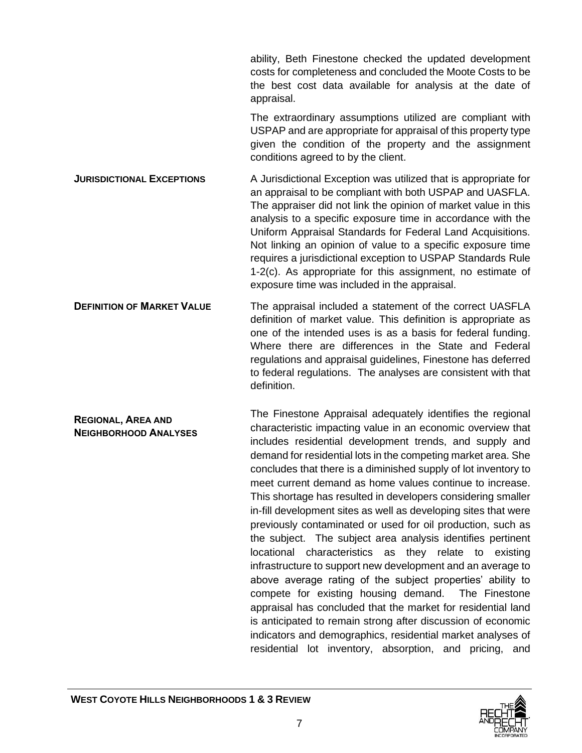ability, Beth Finestone checked the updated development costs for completeness and concluded the Moote Costs to be the best cost data available for analysis at the date of appraisal.

The extraordinary assumptions utilized are compliant with USPAP and are appropriate for appraisal of this property type given the condition of the property and the assignment conditions agreed to by the client.

**JURISDICTIONAL EXCEPTIONS** A Jurisdictional Exception was utilized that is appropriate for an appraisal to be compliant with both USPAP and UASFLA. The appraiser did not link the opinion of market value in this analysis to a specific exposure time in accordance with the Uniform Appraisal Standards for Federal Land Acquisitions. Not linking an opinion of value to a specific exposure time requires a jurisdictional exception to USPAP Standards Rule 1-2(c). As appropriate for this assignment, no estimate of exposure time was included in the appraisal.

**DEFINITION OF MARKET VALUE** The appraisal included a statement of the correct UASFLA definition of market value. This definition is appropriate as one of the intended uses is as a basis for federal funding. Where there are differences in the State and Federal regulations and appraisal guidelines, Finestone has deferred to federal regulations. The analyses are consistent with that definition.

**REGIONAL, AREA AND NEIGHBORHOOD ANALYSES** The Finestone Appraisal adequately identifies the regional characteristic impacting value in an economic overview that includes residential development trends, and supply and demand for residential lots in the competing market area. She concludes that there is a diminished supply of lot inventory to meet current demand as home values continue to increase. This shortage has resulted in developers considering smaller in-fill development sites as well as developing sites that were previously contaminated or used for oil production, such as the subject. The subject area analysis identifies pertinent locational characteristics as they relate to existing infrastructure to support new development and an average to above average rating of the subject properties' ability to compete for existing housing demand. The Finestone appraisal has concluded that the market for residential land is anticipated to remain strong after discussion of economic indicators and demographics, residential market analyses of residential lot inventory, absorption, and pricing, and

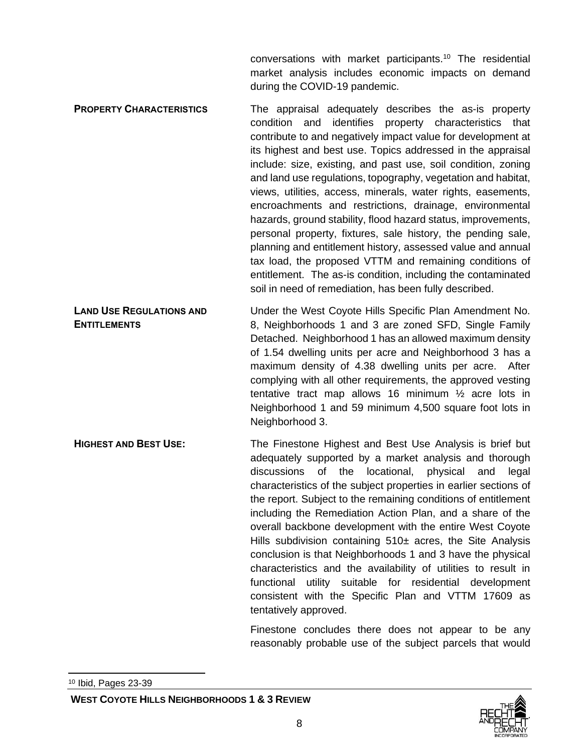conversations with market participants.<sup>10</sup> The residential market analysis includes economic impacts on demand during the COVID-19 pandemic.

- **PROPERTY CHARACTERISTICS** The appraisal adequately describes the as-is property condition and identifies property characteristics that contribute to and negatively impact value for development at its highest and best use. Topics addressed in the appraisal include: size, existing, and past use, soil condition, zoning and land use regulations, topography, vegetation and habitat, views, utilities, access, minerals, water rights, easements, encroachments and restrictions, drainage, environmental hazards, ground stability, flood hazard status, improvements, personal property, fixtures, sale history, the pending sale, planning and entitlement history, assessed value and annual tax load, the proposed VTTM and remaining conditions of entitlement. The as-is condition, including the contaminated soil in need of remediation, has been fully described.
- **LAND USE REGULATIONS AND ENTITLEMENTS** Under the West Coyote Hills Specific Plan Amendment No. 8, Neighborhoods 1 and 3 are zoned SFD, Single Family Detached. Neighborhood 1 has an allowed maximum density of 1.54 dwelling units per acre and Neighborhood 3 has a maximum density of 4.38 dwelling units per acre. After complying with all other requirements, the approved vesting tentative tract map allows 16 minimum ½ acre lots in Neighborhood 1 and 59 minimum 4,500 square foot lots in Neighborhood 3.
- **HIGHEST AND BEST USE:** The Finestone Highest and Best Use Analysis is brief but adequately supported by a market analysis and thorough discussions of the locational, physical and legal characteristics of the subject properties in earlier sections of the report. Subject to the remaining conditions of entitlement including the Remediation Action Plan, and a share of the overall backbone development with the entire West Coyote Hills subdivision containing  $510±$  acres, the Site Analysis conclusion is that Neighborhoods 1 and 3 have the physical characteristics and the availability of utilities to result in functional utility suitable for residential development consistent with the Specific Plan and VTTM 17609 as tentatively approved.

Finestone concludes there does not appear to be any reasonably probable use of the subject parcels that would

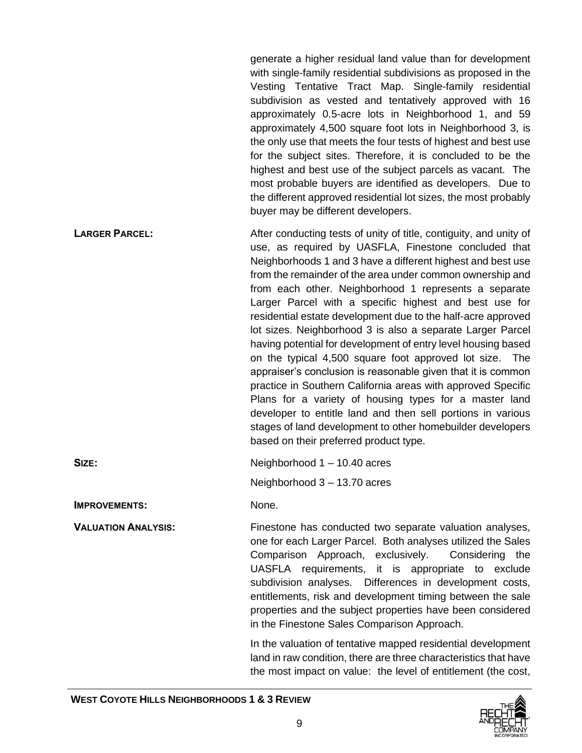generate a higher residual land value than for development with single-family residential subdivisions as proposed in the Vesting Tentative Tract Map. Single-family residential subdivision as vested and tentatively approved with 16 approximately 0.5-acre lots in Neighborhood 1, and 59 approximately 4,500 square foot lots in Neighborhood 3, is the only use that meets the four tests of highest and best use for the subject sites. Therefore, it is concluded to be the highest and best use of the subject parcels as vacant. The most probable buyers are identified as developers. Due to the different approved residential lot sizes, the most probably buyer may be different developers.

- **LARGER PARCEL:** After conducting tests of unity of title, contiguity, and unity of use, as required by UASFLA, Finestone concluded that Neighborhoods 1 and 3 have a different highest and best use from the remainder of the area under common ownership and from each other. Neighborhood 1 represents a separate Larger Parcel with a specific highest and best use for residential estate development due to the half-acre approved lot sizes. Neighborhood 3 is also a separate Larger Parcel having potential for development of entry level housing based on the typical 4,500 square foot approved lot size. The appraiser's conclusion is reasonable given that it is common practice in Southern California areas with approved Specific Plans for a variety of housing types for a master land developer to entitle land and then sell portions in various stages of land development to other homebuilder developers based on their preferred product type.
- **SIZE:** Neighborhood 1 10.40 acres

Neighborhood 3 – 13.70 acres

**IMPROVEMENTS:** None.

**VALUATION ANALYSIS:** Finestone has conducted two separate valuation analyses, one for each Larger Parcel. Both analyses utilized the Sales Comparison Approach, exclusively. Considering the UASFLA requirements, it is appropriate to exclude subdivision analyses. Differences in development costs, entitlements, risk and development timing between the sale properties and the subject properties have been considered in the Finestone Sales Comparison Approach.

> In the valuation of tentative mapped residential development land in raw condition, there are three characteristics that have the most impact on value: the level of entitlement (the cost,

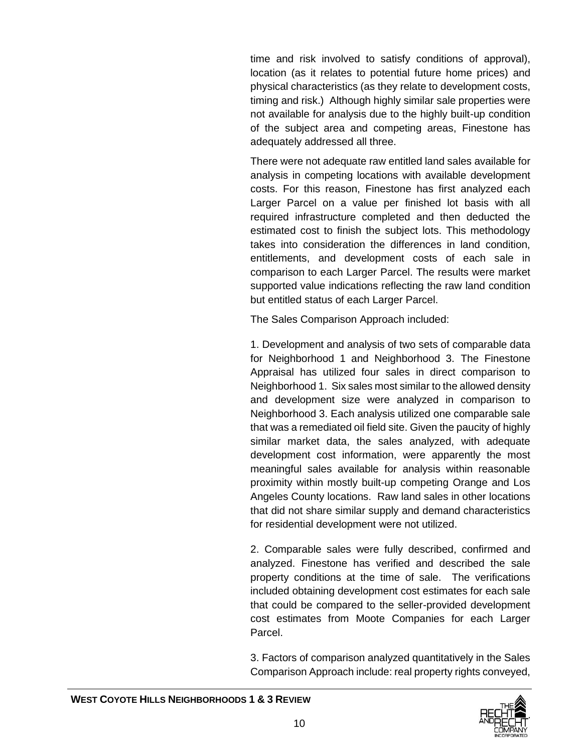time and risk involved to satisfy conditions of approval), location (as it relates to potential future home prices) and physical characteristics (as they relate to development costs, timing and risk.) Although highly similar sale properties were not available for analysis due to the highly built-up condition of the subject area and competing areas, Finestone has adequately addressed all three.

There were not adequate raw entitled land sales available for analysis in competing locations with available development costs. For this reason, Finestone has first analyzed each Larger Parcel on a value per finished lot basis with all required infrastructure completed and then deducted the estimated cost to finish the subject lots. This methodology takes into consideration the differences in land condition, entitlements, and development costs of each sale in comparison to each Larger Parcel. The results were market supported value indications reflecting the raw land condition but entitled status of each Larger Parcel.

The Sales Comparison Approach included:

1. Development and analysis of two sets of comparable data for Neighborhood 1 and Neighborhood 3. The Finestone Appraisal has utilized four sales in direct comparison to Neighborhood 1. Six sales most similar to the allowed density and development size were analyzed in comparison to Neighborhood 3. Each analysis utilized one comparable sale that was a remediated oil field site. Given the paucity of highly similar market data, the sales analyzed, with adequate development cost information, were apparently the most meaningful sales available for analysis within reasonable proximity within mostly built-up competing Orange and Los Angeles County locations. Raw land sales in other locations that did not share similar supply and demand characteristics for residential development were not utilized.

2. Comparable sales were fully described, confirmed and analyzed. Finestone has verified and described the sale property conditions at the time of sale. The verifications included obtaining development cost estimates for each sale that could be compared to the seller-provided development cost estimates from Moote Companies for each Larger Parcel.

3. Factors of comparison analyzed quantitatively in the Sales Comparison Approach include: real property rights conveyed,

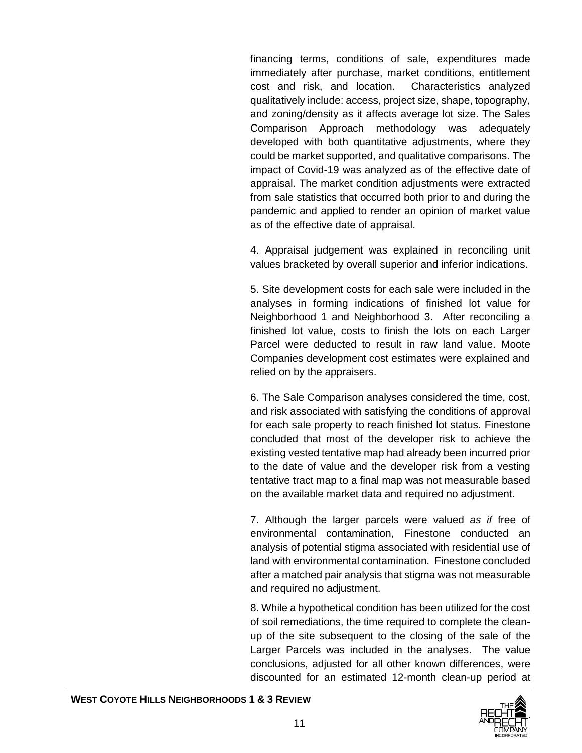financing terms, conditions of sale, expenditures made immediately after purchase, market conditions, entitlement cost and risk, and location. Characteristics analyzed qualitatively include: access, project size, shape, topography, and zoning/density as it affects average lot size. The Sales Comparison Approach methodology was adequately developed with both quantitative adjustments, where they could be market supported, and qualitative comparisons. The impact of Covid-19 was analyzed as of the effective date of appraisal. The market condition adjustments were extracted from sale statistics that occurred both prior to and during the pandemic and applied to render an opinion of market value as of the effective date of appraisal.

4. Appraisal judgement was explained in reconciling unit values bracketed by overall superior and inferior indications.

5. Site development costs for each sale were included in the analyses in forming indications of finished lot value for Neighborhood 1 and Neighborhood 3. After reconciling a finished lot value, costs to finish the lots on each Larger Parcel were deducted to result in raw land value. Moote Companies development cost estimates were explained and relied on by the appraisers.

6. The Sale Comparison analyses considered the time, cost, and risk associated with satisfying the conditions of approval for each sale property to reach finished lot status. Finestone concluded that most of the developer risk to achieve the existing vested tentative map had already been incurred prior to the date of value and the developer risk from a vesting tentative tract map to a final map was not measurable based on the available market data and required no adjustment.

7. Although the larger parcels were valued *as if* free of environmental contamination, Finestone conducted an analysis of potential stigma associated with residential use of land with environmental contamination. Finestone concluded after a matched pair analysis that stigma was not measurable and required no adjustment.

8. While a hypothetical condition has been utilized for the cost of soil remediations, the time required to complete the cleanup of the site subsequent to the closing of the sale of the Larger Parcels was included in the analyses. The value conclusions, adjusted for all other known differences, were discounted for an estimated 12-month clean-up period at

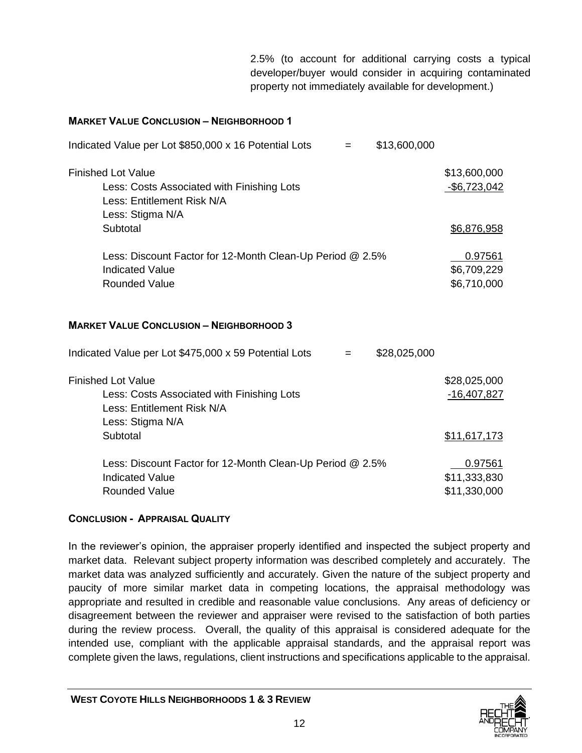2.5% (to account for additional carrying costs a typical developer/buyer would consider in acquiring contaminated property not immediately available for development.)

#### **MARKET VALUE CONCLUSION – NEIGHBORHOOD 1**

| Indicated Value per Lot \$850,000 x 16 Potential Lots<br>\$13,600,000<br>$=$                                              |                                         |
|---------------------------------------------------------------------------------------------------------------------------|-----------------------------------------|
| <b>Finished Lot Value</b><br>Less: Costs Associated with Finishing Lots<br>Less: Entitlement Risk N/A<br>Less: Stigma N/A | \$13,600,000<br>$-$6,723,042$           |
| Subtotal                                                                                                                  | \$6,876,958                             |
| Less: Discount Factor for 12-Month Clean-Up Period @ 2.5%<br><b>Indicated Value</b><br><b>Rounded Value</b>               | 0.97561<br>\$6,709,229<br>\$6,710,000   |
| <b>MARKET VALUE CONCLUSION - NEIGHBORHOOD 3</b>                                                                           |                                         |
| Indicated Value per Lot \$475,000 x 59 Potential Lots<br>\$28,025,000<br>$=$                                              |                                         |
| <b>Finished Lot Value</b><br>Less: Costs Associated with Finishing Lots<br>Less: Entitlement Risk N/A<br>Less: Stigma N/A | \$28,025,000<br>$-16,407,827$           |
| Subtotal                                                                                                                  | \$11,617,173                            |
| Less: Discount Factor for 12-Month Clean-Up Period @ 2.5%<br><b>Indicated Value</b><br><b>Rounded Value</b>               | 0.97561<br>\$11,333,830<br>\$11,330,000 |

#### **CONCLUSION - APPRAISAL QUALITY**

In the reviewer's opinion, the appraiser properly identified and inspected the subject property and market data. Relevant subject property information was described completely and accurately. The market data was analyzed sufficiently and accurately. Given the nature of the subject property and paucity of more similar market data in competing locations, the appraisal methodology was appropriate and resulted in credible and reasonable value conclusions. Any areas of deficiency or disagreement between the reviewer and appraiser were revised to the satisfaction of both parties during the review process. Overall, the quality of this appraisal is considered adequate for the intended use, compliant with the applicable appraisal standards, and the appraisal report was complete given the laws, regulations, client instructions and specifications applicable to the appraisal.

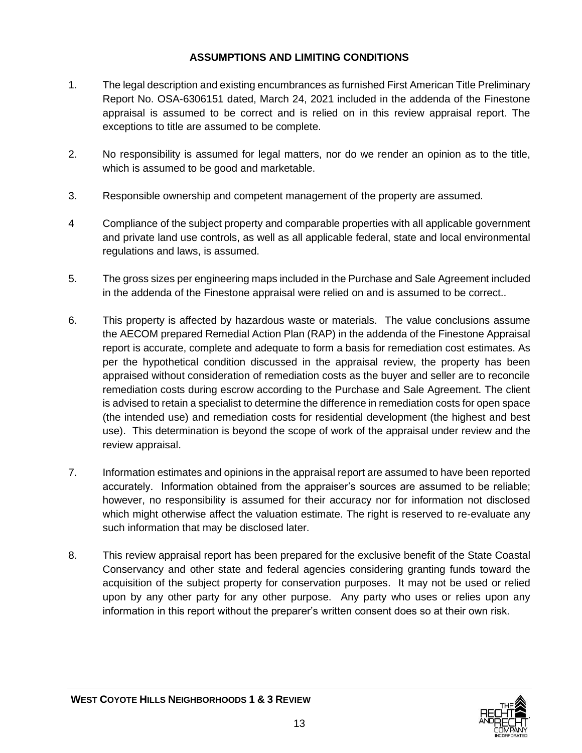## **ASSUMPTIONS AND LIMITING CONDITIONS**

- 1. The legal description and existing encumbrances as furnished First American Title Preliminary Report No. OSA-6306151 dated, March 24, 2021 included in the addenda of the Finestone appraisal is assumed to be correct and is relied on in this review appraisal report. The exceptions to title are assumed to be complete.
- 2. No responsibility is assumed for legal matters, nor do we render an opinion as to the title, which is assumed to be good and marketable.
- 3. Responsible ownership and competent management of the property are assumed.
- 4 Compliance of the subject property and comparable properties with all applicable government and private land use controls, as well as all applicable federal, state and local environmental regulations and laws, is assumed.
- 5. The gross sizes per engineering maps included in the Purchase and Sale Agreement included in the addenda of the Finestone appraisal were relied on and is assumed to be correct..
- 6. This property is affected by hazardous waste or materials. The value conclusions assume the AECOM prepared Remedial Action Plan (RAP) in the addenda of the Finestone Appraisal report is accurate, complete and adequate to form a basis for remediation cost estimates. As per the hypothetical condition discussed in the appraisal review, the property has been appraised without consideration of remediation costs as the buyer and seller are to reconcile remediation costs during escrow according to the Purchase and Sale Agreement. The client is advised to retain a specialist to determine the difference in remediation costs for open space (the intended use) and remediation costs for residential development (the highest and best use). This determination is beyond the scope of work of the appraisal under review and the review appraisal.
- 7. Information estimates and opinions in the appraisal report are assumed to have been reported accurately. Information obtained from the appraiser's sources are assumed to be reliable; however, no responsibility is assumed for their accuracy nor for information not disclosed which might otherwise affect the valuation estimate. The right is reserved to re-evaluate any such information that may be disclosed later.
- 8. This review appraisal report has been prepared for the exclusive benefit of the State Coastal Conservancy and other state and federal agencies considering granting funds toward the acquisition of the subject property for conservation purposes. It may not be used or relied upon by any other party for any other purpose. Any party who uses or relies upon any information in this report without the preparer's written consent does so at their own risk.